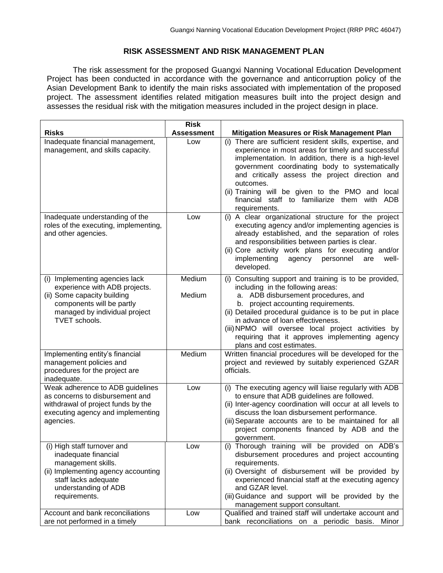## **RISK ASSESSMENT AND RISK MANAGEMENT PLAN**

The risk assessment for the proposed Guangxi Nanning Vocational Education Development Project has been conducted in accordance with the governance and anticorruption policy of the Asian Development Bank to identify the main risks associated with implementation of the proposed project. The assessment identifies related mitigation measures built into the project design and assesses the residual risk with the mitigation measures included in the project design in place.

|                                                                                                                                                                                      | <b>Risk</b>       |                                                                                                                                                                                                                                                                                                                                                                                                                 |
|--------------------------------------------------------------------------------------------------------------------------------------------------------------------------------------|-------------------|-----------------------------------------------------------------------------------------------------------------------------------------------------------------------------------------------------------------------------------------------------------------------------------------------------------------------------------------------------------------------------------------------------------------|
| <b>Risks</b>                                                                                                                                                                         | <b>Assessment</b> | <b>Mitigation Measures or Risk Management Plan</b>                                                                                                                                                                                                                                                                                                                                                              |
| Inadequate financial management,<br>management, and skills capacity.                                                                                                                 | Low               | (i) There are sufficient resident skills, expertise, and<br>experience in most areas for timely and successful<br>implementation. In addition, there is a high-level<br>government coordinating body to systematically<br>and critically assess the project direction and<br>outcomes.<br>(ii) Training will be given to the PMO and local<br>financial staff to familiarize them with ADB<br>requirements.     |
| Inadequate understanding of the<br>roles of the executing, implementing,<br>and other agencies.                                                                                      | Low               | (i) A clear organizational structure for the project<br>executing agency and/or implementing agencies is<br>already established, and the separation of roles<br>and responsibilities between parties is clear.<br>(ii) Core activity work plans for executing and/or<br>implementing<br>personnel<br>agency<br>well-<br>are<br>developed.                                                                       |
| (i) Implementing agencies lack<br>experience with ADB projects.<br>(ii) Some capacity building<br>components will be partly<br>managed by individual project<br><b>TVET</b> schools. | Medium<br>Medium  | (i) Consulting support and training is to be provided,<br>including in the following areas:<br>a. ADB disbursement procedures, and<br>b. project accounting requirements.<br>(ii) Detailed procedural guidance is to be put in place<br>in advance of loan effectiveness.<br>(iii) NPMO will oversee local project activities by<br>requiring that it approves implementing agency<br>plans and cost estimates. |
| Implementing entity's financial<br>management policies and<br>procedures for the project are<br>inadequate.                                                                          | Medium            | Written financial procedures will be developed for the<br>project and reviewed by suitably experienced GZAR<br>officials.                                                                                                                                                                                                                                                                                       |
| Weak adherence to ADB guidelines<br>as concerns to disbursement and<br>withdrawal of project funds by the<br>executing agency and implementing<br>agencies.                          | Low               | (i) The executing agency will liaise regularly with ADB<br>to ensure that ADB guidelines are followed.<br>(ii) Inter-agency coordination will occur at all levels to<br>discuss the loan disbursement performance.<br>(iii) Separate accounts are to be maintained for all<br>project components financed by ADB and the<br>government.                                                                         |
| (i) High staff turnover and<br>inadequate financial<br>management skills.<br>(ii) Implementing agency accounting<br>staff lacks adequate<br>understanding of ADB<br>requirements.    | Low               | (i) Thorough training will be provided on ADB's<br>disbursement procedures and project accounting<br>requirements.<br>(ii) Oversight of disbursement will be provided by<br>experienced financial staff at the executing agency<br>and GZAR level.<br>(iii) Guidance and support will be provided by the<br>management support consultant.                                                                      |
| Account and bank reconciliations<br>are not performed in a timely                                                                                                                    | Low               | Qualified and trained staff will undertake account and<br>bank reconciliations on a periodic basis. Minor                                                                                                                                                                                                                                                                                                       |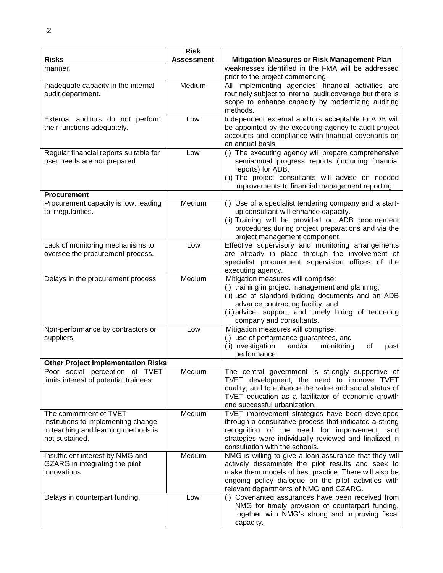|                                           | <b>Risk</b>       |                                                                                                              |
|-------------------------------------------|-------------------|--------------------------------------------------------------------------------------------------------------|
| <b>Risks</b>                              | <b>Assessment</b> | <b>Mitigation Measures or Risk Management Plan</b>                                                           |
| manner.                                   |                   | weaknesses identified in the FMA will be addressed                                                           |
|                                           |                   | prior to the project commencing.                                                                             |
| Inadequate capacity in the internal       | Medium            | All implementing agencies' financial activities are                                                          |
| audit department.                         |                   | routinely subject to internal audit coverage but there is                                                    |
|                                           |                   | scope to enhance capacity by modernizing auditing                                                            |
|                                           |                   | methods.                                                                                                     |
| External auditors do not perform          | Low               | Independent external auditors acceptable to ADB will                                                         |
| their functions adequately.               |                   | be appointed by the executing agency to audit project<br>accounts and compliance with financial covenants on |
|                                           |                   | an annual basis.                                                                                             |
| Regular financial reports suitable for    | Low               | (i) The executing agency will prepare comprehensive                                                          |
| user needs are not prepared.              |                   | semiannual progress reports (including financial                                                             |
|                                           |                   | reports) for ADB.                                                                                            |
|                                           |                   | (ii) The project consultants will advise on needed                                                           |
|                                           |                   | improvements to financial management reporting.                                                              |
| <b>Procurement</b>                        |                   |                                                                                                              |
| Procurement capacity is low, leading      | Medium            | (i) Use of a specialist tendering company and a start-                                                       |
| to irregularities.                        |                   | up consultant will enhance capacity.                                                                         |
|                                           |                   | (ii) Training will be provided on ADB procurement                                                            |
|                                           |                   | procedures during project preparations and via the                                                           |
|                                           |                   | project management component.                                                                                |
| Lack of monitoring mechanisms to          | Low               | Effective supervisory and monitoring arrangements                                                            |
| oversee the procurement process.          |                   | are already in place through the involvement of                                                              |
|                                           |                   | specialist procurement supervision offices of the                                                            |
|                                           |                   | executing agency.                                                                                            |
| Delays in the procurement process.        | Medium            | Mitigation measures will comprise:                                                                           |
|                                           |                   | (i) training in project management and planning;                                                             |
|                                           |                   | (ii) use of standard bidding documents and an ADB                                                            |
|                                           |                   | advance contracting facility; and                                                                            |
|                                           |                   | (iii) advice, support, and timely hiring of tendering                                                        |
|                                           |                   | company and consultants.                                                                                     |
| Non-performance by contractors or         | Low               | Mitigation measures will comprise:                                                                           |
| suppliers.                                |                   | (i) use of performance guarantees, and                                                                       |
|                                           |                   | (ii) investigation<br>and/or<br>monitoring<br>οf<br>past                                                     |
|                                           |                   | performance.                                                                                                 |
| <b>Other Project Implementation Risks</b> |                   |                                                                                                              |
| Poor social perception of TVET            | Medium            | The central government is strongly supportive of                                                             |
| limits interest of potential trainees.    |                   | TVET development, the need to improve TVET                                                                   |
|                                           |                   | quality, and to enhance the value and social status of                                                       |
|                                           |                   | TVET education as a facilitator of economic growth<br>and successful urbanization.                           |
| The commitment of TVET                    | Medium            | TVET improvement strategies have been developed                                                              |
| institutions to implementing change       |                   | through a consultative process that indicated a strong                                                       |
| in teaching and learning methods is       |                   | recognition of the need for improvement, and                                                                 |
| not sustained.                            |                   | strategies were individually reviewed and finalized in                                                       |
|                                           |                   | consultation with the schools.                                                                               |
| Insufficient interest by NMG and          | Medium            | NMG is willing to give a loan assurance that they will                                                       |
| GZARG in integrating the pilot            |                   | actively disseminate the pilot results and seek to                                                           |
| innovations.                              |                   | make them models of best practice. There will also be                                                        |
|                                           |                   | ongoing policy dialogue on the pilot activities with                                                         |
|                                           |                   | relevant departments of NMG and GZARG.                                                                       |
| Delays in counterpart funding.            | Low               | (i) Covenanted assurances have been received from                                                            |
|                                           |                   | NMG for timely provision of counterpart funding,                                                             |
|                                           |                   | together with NMG's strong and improving fiscal                                                              |
|                                           |                   | capacity.                                                                                                    |